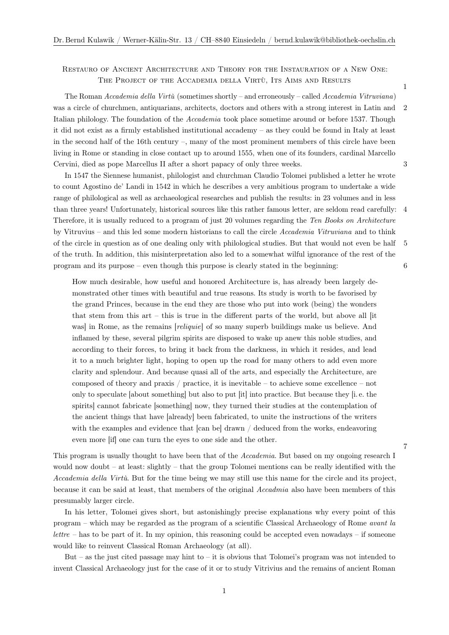## Restauro of Ancient Architecture and Theory for the Instauration of a New One: THE PROJECT OF THE ACCADEMIA DELLA VIRTÙ, ITS AIMS AND RESULTS 1

The Roman *Accademia della Virtù* (sometimes shortly – and erroneously – called *Accademia Vitruviana*) was a circle of churchmen, antiquarians, architects, doctors and others with a strong interest in Latin and 2 Italian philology. The foundation of the *Accademia* took place sometime around or before 1537. Though it did not exist as a firmly established institutional accademy – as they could be found in Italy at least in the second half of the 16th century  $-$ , many of the most prominent members of this circle have been living in Rome or standing in close contact up to around 1555, when one of its founders, cardinal Marcello Cervini, died as pope Marcellus II after a short papacy of only three weeks. 3

In 1547 the Siennese humanist, philologist and churchman Claudio Tolomei published a letter he wrote to count Agostino de' Landi in 1542 in which he describes a very ambitious program to undertake a wide range of philological as well as archaeological researches and publish the results: in 23 volumes and in less than three years! Unfortunately, historical sources like this rather famous letter, are seldom read carefully: 4 Therefore, it is usually reduced to a program of just 20 volumes regarding the *Ten Books on Architecture* by Vitruvius – and this led some modern historians to call the circle *Accademia Vitruviana* and to think of the circle in question as of one dealing only with philological studies. But that would not even be half 5 of the truth. In addition, this misinterpretation also led to a somewhat wilful ignorance of the rest of the program and its purpose – even though this purpose is clearly stated in the beginning: 6

How much desirable, how useful and honored Architecture is, has already been largely demonstrated other times with beautiful and true reasons. Its study is worth to be favorised by the grand Princes, because in the end they are those who put into work (being) the wonders that stem from this art – this is true in the different parts of the world, but above all [it was] in Rome, as the remains [*reliquie*] of so many superb buildings make us believe. And inflamed by these, several pilgrim spirits are disposed to wake up anew this noble studies, and according to their forces, to bring it back from the darkness, in which it resides, and lead it to a much brighter light, hoping to open up the road for many others to add even more clarity and splendour. And because quasi all of the arts, and especially the Architecture, are composed of theory and praxis / practice, it is inevitable – to achieve some excellence – not only to speculate [about something] but also to put [it] into practice. But because they [i. e. the spirits] cannot fabricate [something] now, they turned their studies at the contemplation of the ancient things that have [already] been fabricated, to unite the instructions of the writers with the examples and evidence that [can be] drawn / deduced from the works, endeavoring even more  $[if]$  one can turn the eyes to one side and the other.  $7$ 

This program is usually thought to have been that of the *Accademia*. But based on my ongoing research I would now doubt – at least: slightly – that the group Tolomei mentions can be really identified with the *Accademia della Virtù*. But for the time being we may still use this name for the circle and its project, because it can be said at least, that members of the original *Accadmia* also have been members of this presumably larger circle.

In his letter, Tolomei gives short, but astonishingly precise explanations why every point of this program – which may be regarded as the program of a scientific Classical Archaeology of Rome *avant la lettre* – has to be part of it. In my opinion, this reasoning could be accepted even nowadays – if someone would like to reinvent Classical Roman Archaeology (at all).

But – as the just cited passage may hint to – it is obvious that Tolomei's program was not intended to invent Classical Archaeology just for the case of it or to study Vitrivius and the remains of ancient Roman

1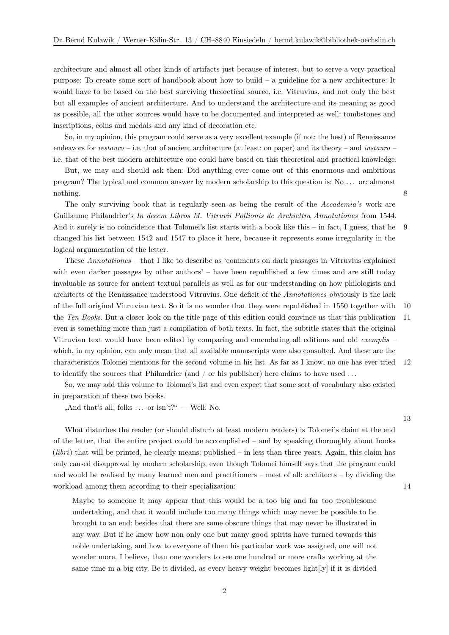architecture and almost all other kinds of artifacts just because of interest, but to serve a very practical purpose: To create some sort of handbook about how to build – a guideline for a new architecture: It would have to be based on the best surviving theoretical source, i.e. Vitruvius, and not only the best but all examples of ancient architecture. And to understand the architecture and its meaning as good as possible, all the other sources would have to be documented and interpreted as well: tombstones and inscriptions, coins and medals and any kind of decoration etc.

So, in my opinion, this program could serve as a very excellent example (if not: the best) of Renaissance endeavors for *restauro* – i.e. that of ancient architecture (at least: on paper) and its theory – and *instauro* – i.e. that of the best modern architecture one could have based on this theoretical and practical knowledge.

But, we may and should ask then: Did anything ever come out of this enormous and ambitious program? The typical and common answer by modern scholarship to this question is: No . . . or: almonst nothing. 8

The only surviving book that is regularly seen as being the result of the *Accademia's* work are Guillaume Philandrier's *In decem Libros M. Vitruvii Pollionis de Archicttra Annotationes* from 1544. And it surely is no coincidence that Tolomei's list starts with a book like this – in fact, I guess, that he 9 changed his list between 1542 and 1547 to place it here, because it represents some irregularity in the logical argumentation of the letter.

These *Annotationes* – that I like to describe as 'comments on dark passages in Vitruvius explained with even darker passages by other authors' – have been republished a few times and are still today invaluable as source for ancient textual parallels as well as for our understanding on how philologists and architects of the Renaissance understood Vitruvius. One deficit of the *Annotationes* obviously is the lack of the full original Vitruvian text. So it is no wonder that they were republished in 1550 together with 10 the *Ten Books*. But a closer look on the title page of this edition could convince us that this publication 11 even is something more than just a compilation of both texts. In fact, the subtitle states that the original Vitruvian text would have been edited by comparing and emendating all editions and old *exemplis* – which, in my opinion, can only mean that all available manuscripts were also consulted. And these are the characteristics Tolomei mentions for the second volume in his list. As far as I know, no one has ever tried 12 to identify the sources that Philandrier (and / or his publisher) here claims to have used . . .

So, we may add this volume to Tolomei's list and even expect that some sort of vocabulary also existed in preparation of these two books.

",And that's all, folks  $\ldots$  or isn't?" — Well: No.

What disturbes the reader (or should disturb at least modern readers) is Tolomei's claim at the end of the letter, that the entire project could be accomplished – and by speaking thoroughly about books (*libri*) that will be printed, he clearly means: published – in less than three years. Again, this claim has only caused disapproval by modern scholarship, even though Tolomei himself says that the program could and would be realised by many learned men and practitioners – most of all: architects – by dividing the workload among them according to their specialization: 14

Maybe to someone it may appear that this would be a too big and far too troublesome undertaking, and that it would include too many things which may never be possible to be brought to an end: besides that there are some obscure things that may never be illustrated in any way. But if he knew how non only one but many good spirits have turned towards this noble undertaking, and how to everyone of them his particular work was assigned, one will not wonder more, I believe, than one wonders to see one hundred or more crafts working at the same time in a big city. Be it divided, as every heavy weight becomes light[ly] if it is divided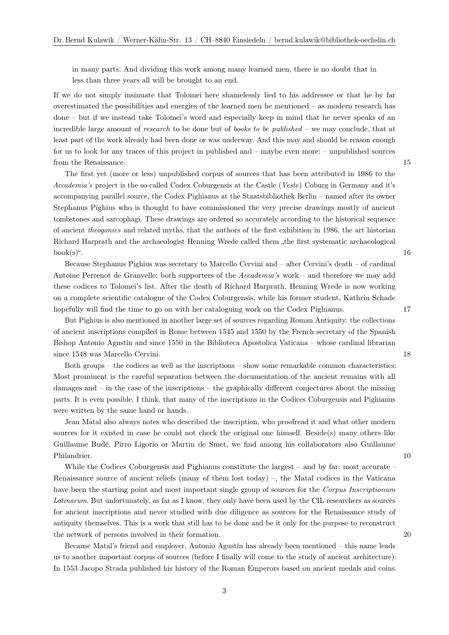in many parts. And dividing this work among many learned men, there is no doubt that in less than three years all will be brought to an end.

If we do not simply insinuate that Tolomei here shamelessly lied to his addressee or that he by far overestimated the possibilities and energies of the learned men he mentioned – as modern research has done – but if we instead take Tolomei's word and especially keep in mind that he never speaks of an incredible large amount of *research* to be done but of *books to be published* – we may conclude, that at least part of the work already had been done or was underway. And this may and should be reason enough for us to look for any traces of this project in published and – maybe even more: – unpublished sources from the Renaissance. 15

The first yet (more or less) unpublished corpus of sources that has been attributed in 1986 to the *Accademia's* project is the so-called Codex Coburgensis at the Castle (*Veste*) Coburg in Germany and it's accompanying parallel source, the Codex Pighianus at the Staatsbibliothek Berlin – named after its owner Stephanus Pighius who is thought to have commissioned the very precise drawings mostly of ancient tombstones and sarcophagi. These drawings are ordered so accurately according to the historical sequence of ancient *theogonies* and related myths, that the authors of the first exhibition in 1986, the art historian Richard Harprath and the archaeologist Henning Wrede called them "the first systematic archaeological"  $book(s)$ ". 16

Because Stephanus Pighius was secretary to Marcello Cervini and – after Cervini's death – of cardinal Antoine Perrenot de Granvelle: both supporters of the *Accademia's* work – and therefore we may add these codices to Tolomei's list. After the death of Richard Harprath, Henning Wrede is now working on a complete scientific catalogue of the Codex Coburgensis, while his former student, Kathrin Schade hopefully will find the time to go on with her cataloguing work on the Codex Pighianus. 17

But Pighius is also mentioned in another large set of sources regarding Roman Antiquity: the collections of ancient inscriptions compiled in Rome between 1545 and 1550 by the French secretary of the Spanish Bishop Antonio Agustín and since 1550 in the Biblioteca Apostolica Vaticana – whose cardinal librarian since 1548 was Marcello Cervini. 18

Both groups – the codices as well as the inscriptions – show some remarkable common characteristics: Most prominent is the careful separation between the documentation of the ancient remains with all damages and – in the case of the inscriptions – the graphically different conjectures about the missing parts. It is even possible, I think, that many of the inscriptions in the Codices Coburgensis and Pighianus were written by the same hand or hands.

Jean Matal also always notes who described the inscription, who proofread it and what other modern sources for it existed in case he could not check the original one himself. Beside(s) many others like Guillaume Budé, Pirro Ligorio or Martin de Smet, we find among his collaborators also Guillaume Philandrier. 10

While the Codices Coburgensis and Pighianus constitute the largest – and by far: most accurate – Renaissance source of ancient reliefs (many of them lost today) –, the Matal codices in the Vaticana have been the starting point and most important single group of sources for the *Corpus Inscriptionum Latinarum*. But unfortunately, as far as I know, they only have been used by the CIL researchers as sources for ancient inscriptions and never studied with due diligence as sources for the Renaissance study of antiquity themselves. This is a work that still has to be done and be it only for the purpose to reconstruct the network of persons involved in their formation. 20

Because Matal's friend and employer, Antonio Agustín has already been mentioned – this name leads us to another important corpus of sources (before I finally will come to the study of ancient architecture): In 1553 Jacopo Strada published his history of the Roman Emperors based on ancient medals and coins.

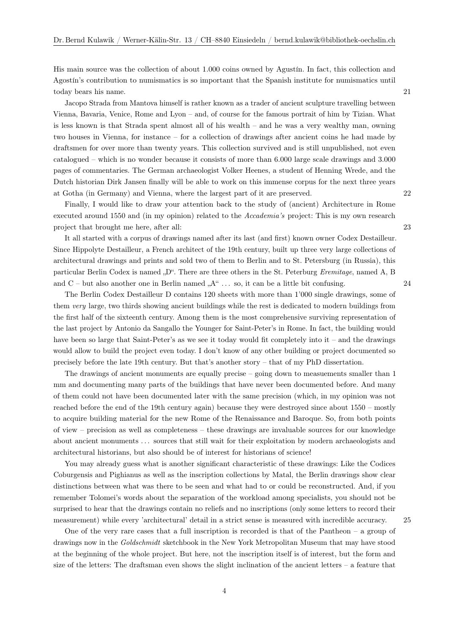His main source was the collection of about 1.000 coins owned by Agustín. In fact, this collection and Agostín's contribution to numismatics is so important that the Spanish institute for numismatics until today bears his name. 21

Jacopo Strada from Mantova himself is rather known as a trader of ancient sculpture travelling between Vienna, Bavaria, Venice, Rome and Lyon – and, of course for the famous portrait of him by Tizian. What is less known is that Strada spent almost all of his wealth – and he was a very wealthy man, owning two houses in Vienna, for instance – for a collection of drawings after ancient coins he had made by draftsmen for over more than twenty years. This collection survived and is still unpublished, not even catalogued – which is no wonder because it consists of more than 6.000 large scale drawings and 3.000 pages of commentaries. The German archaeologist Volker Heenes, a student of Henning Wrede, and the Dutch historian Dirk Jansen finally will be able to work on this immense corpus for the next three years at Gotha (in Germany) and Vienna, where the largest part of it are preserved. 22

Finally, I would like to draw your attention back to the study of (ancient) Architecture in Rome executed around 1550 and (in my opinion) related to the *Accademia's* project: This is my own research project that brought me here, after all: 23

It all started with a corpus of drawings named after its last (and first) known owner Codex Destailleur. Since Hippolyte Destailleur, a French architect of the 19th century, built up three very large collections of architectural drawings and prints and sold two of them to Berlin and to St. Petersburg (in Russia), this particular Berlin Codex is named "D". There are three others in the St. Peterburg *Eremitage*, named A, B and  $C$  – but also another one in Berlin named  $A^{\omega}$  ... so, it can be a little bit confusing. 24

The Berlin Codex Destailleur D contains 120 sheets with more than 1'000 single drawings, some of them *very* large, two thirds showing ancient buildings while the rest is dedicated to modern buildings from the first half of the sixteenth century. Among them is the most comprehensive surviving representation of the last project by Antonio da Sangallo the Younger for Saint-Peter's in Rome. In fact, the building would have been so large that Saint-Peter's as we see it today would fit completely into it – and the drawings would allow to build the project even today. I don't know of any other building or project documented so precisely before the late 19th century. But that's another story – that of my PhD dissertation.

The drawings of ancient monuments are equally precise – going down to measuements smaller than 1 mm and documenting many parts of the buildings that have never been documented before. And many of them could not have been documented later with the same precision (which, in my opinion was not reached before the end of the 19th century again) because they were destroyed since about 1550 – mostly to acquire building material for the new Rome of the Renaissance and Baroque. So, from both points of view – precision as well as completeness – these drawings are invaluable sources for our knowledge about ancient monuments . . . sources that still wait for their exploitation by modern archaeologists and architectural historians, but also should be of interest for historians of science!

You may already guess what is another significant characteristic of these drawings: Like the Codices Coburgensis and Pighianus as well as the inscription collections by Matal, the Berlin drawings show clear distinctions between what was there to be seen and what had to or could be reconstructed. And, if you remember Tolomei's words about the separation of the workload among specialists, you should not be surprised to hear that the drawings contain no reliefs and no inscriptions (only some letters to record their measurement) while every 'architectural' detail in a strict sense is measured with incredible accuracy. 25

One of the very rare cases that a full inscription is recorded is that of the Pantheon – a group of drawings now in the *Goldschmidt* sketchbook in the New York Metropolitan Museum that may have stood at the beginning of the whole project. But here, not the inscription itself is of interest, but the form and size of the letters: The draftsman even shows the slight inclination of the ancient letters – a feature that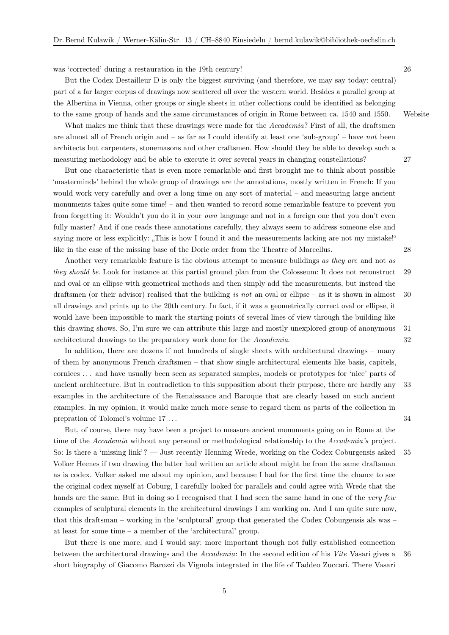was 'corrected' during a restauration in the 19th century! 26

But the Codex Destailleur D is only the biggest surviving (and therefore, we may say today: central) part of a far larger corpus of drawings now scattered all over the western world. Besides a parallel group at the Albertina in Vienna, other groups or single sheets in other collections could be identified as belonging to the same group of hands and the same circumstances of origin in Rome between ca. 1540 and 1550. [Website](http://accademia-vitruviana.net/persons/anonymi)

What makes me think that these drawings were made for the *Accademia*? First of all, the draftsmen are almost all of French origin and – as far as I could identify at least one 'sub-group' – have *not* been architects but carpenters, stonemasons and other craftsmen. How should they be able to develop such a measuring methodology and be able to execute it over several years in changing constellations? 27

But one characteristic that is even more remarkable and first brought me to think about possible 'masterminds' behind the whole group of drawings are the annotations, mostly written in French: If you would work very carefully and over a long time on any sort of material – and measuring large ancient monuments takes quite some time! – and then wanted to record some remarkable feature to prevent you from forgetting it: Wouldn't you do it in your *own* language and not in a foreign one that you don't even fully master? And if one reads these annotations carefully, they always seem to address someone else and saying more or less explicitly: "This is how I found it and the measurements lacking are not my mistake!" like in the case of the missing base of the Doric order from the Theatre of Marcellus. 28

Another very remarkable feature is the obvious attempt to measure buildings *as they are* and not *as they should be*. Look for instance at this partial ground plan from the Colosseum: It does not reconstruct 29 and oval or an ellipse with geometrical methods and then simply add the measurements, but instead the draftsmen (or their advisor) realised that the building *is not* an oval or ellipse – as it is shown in almost 30 all drawings and prints up to the 20th century. In fact, if it was a geometrically correct oval or ellipse, it would have been impossible to mark the starting points of several lines of view through the building like this drawing shows. So, I'm sure we can attribute this large and mostly unexplored group of anonymous 31 architectural drawings to the preparatory work done for the *Accademia*. 32

In addition, there are dozens if not hundreds of single sheets with architectural drawings – many of them by anonymous French draftsmen – that show single architectural elements like basis, capitels, cornices . . . and have usually been seen as separated samples, models or prototypes for 'nice' parts of ancient architecture. But in contradiction to this supposition about their purpose, there are hardly any 33 examples in the architecture of the Renaissance and Baroque that are clearly based on such ancient examples. In my opinion, it would make much more sense to regard them as parts of the collection in prepration of Tolomei's volume 17 ... 34

But, of course, there may have been a project to measure ancient monuments going on in Rome at the time of the *Accademia* without any personal or methodological relationship to the *Accademia's* project. So: Is there a 'missing link'? — Just recently Henning Wrede, working on the Codex Coburgensis asked 35 Volker Heenes if two drawing the latter had written an article about might be from the same draftsman as is codex. Volker asked me about my opinion, and because I had for the first time the chance to see the original codex myself at Coburg, I carefully looked for parallels and could agree with Wrede that the hands are the same. But in doing so I recognised that I had seen the same hand in one of the *very few* examples of sculptural elements in the architectural drawings I am working on. And I am quite sure now, that this draftsman – working in the 'sculptural' group that generated the Codex Coburgensis als was – at least for some time – a member of the 'architectural' group.

But there is one more, and I would say: more important though not fully established connection between the architectural drawings and the *Accademia*: In the second edition of his *Vite* Vasari gives a 36 short biography of Giacomo Barozzi da Vignola integrated in the life of Taddeo Zuccari. There Vasari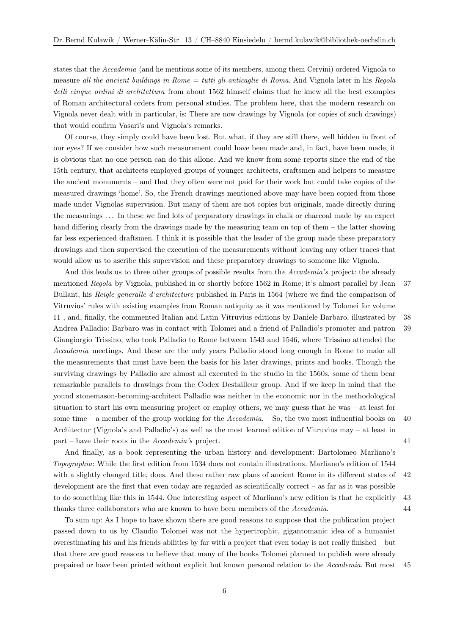states that the *Accademia* (and he mentions some of its members, among them Cervini) ordered Vignola to measure *all the ancient buildings in Rome* = *tutti gli anticaglie di Roma*. And Vignola later in his *Regola delli cinque ordini di architettura* from about 1562 himself claims that he knew all the best examples of Roman architectural orders from personal studies. The problem here, that the modern research on Vignola never dealt with in particular, is: There are now drawings by Vignola (or copies of such drawings) that would confirm Vasari's and Vignola's remarks.

Of course, they simply could have been lost. But what, if they are still there, well hidden in front of our eyes? If we consider how such measurement could have been made and, in fact, have been made, it is obvious that no one person can do this allone. And we know from some reports since the end of the 15th century, that architects employed groups of younger architects, craftsmen and helpers to measure the ancient monuments – and that they often were not paid for their work but could take copies of the measured drawings 'home'. So, the French drawings mentioned above may have been copied from those made under Vignolas supervision. But many of them are not copies but originals, made directly during the measurings . . . In these we find lots of preparatory drawings in chalk or charcoal made by an expert hand differing clearly from the drawings made by the measuring team on top of them – the latter showing far less experienced draftsmen. I think it is possible that the leader of the group made these preparatory drawings and then supervised the execution of the measurements without leaving any other traces that would allow us to ascribe this supervision and these preparatory drawings to someone like Vignola.

And this leads us to three other groups of possible results from th*e Accademia's* project: the already mentioned *Regola* by Vignola, published in or shortly before 1562 in Rome; it's almost parallel by Jean 37 Bullant, his *Reigle generalle d'architecture* published in Paris in 1564 (where we find the comparison of Vitruvius' rules with existing examples from Roman antiquity as it was mentioned by Tolomei for volume 11 , and, finally, the commented Italian and Latin Vitruvius editions by Daniele Barbaro, illustrated by 38 Andrea Palladio: Barbaro was in contact with Tolomei and a friend of Palladio's promoter and patron 39 Giangiorgio Trissino, who took Palladio to Rome between 1543 and 1546, where Trissino attended the *Accademia* meetings. And these are the only years Palladio stood long enough in Rome to make all the measurements that must have been the basis for his later drawings, prints and books. Though the surviving drawings by Palladio are almost all executed in the studio in the 1560s, some of them bear remarkable parallels to drawings from the Codex Destailleur group. And if we keep in mind that the yound stonemason-becoming-architect Palladio was neither in the economic nor in the methodological situation to start his own measuring project or employ others, we may guess that he was – at least for some time – a member of the group working for the *Accademia*. – So, the two most influential books on 40 Architectur (Vignola's and Palladio's) as well as the most learned edition of Vitruvius may – at least in part – have their roots in the *Accademia's* project. 41

And finally, as a book representing the urban history and development: Bartolomeo Marliano's *Topographia*: While the first edition from 1534 does not contain illustrations, Marliano's edition of 1544 with a slightly changed title, does. And these rather raw plans of ancient Rome in its different states of 42 development are the first that even today are regarded as scientifically correct – as far as it was possible to do something like this in 1544. One interesting aspect of Marliano's new edition is that he explicitly 43 thanks three collaborators who are known to have been members of the *Accademia*. 44

To sum up: As I hope to have shown there are good reasons to suppose that the publication project passed down to us by Claudio Tolomei was not the hypertrophic, gigantomanic idea of a humanist overestimating his and his friends abilities by far with a project that even today is not really finished – but that there are good reasons to believe that many of the books Tolomei planned to publish were already prepaired or have been printed without explicit but known personal relation to the *Accademia*. But most 45